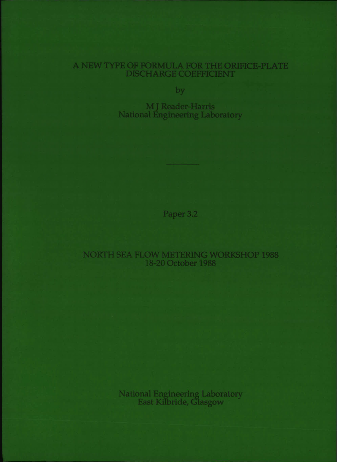# A NEW TYPE OF FORMULA FOR THE ORIFICE-PLATE **DISCHARGE COEFFICIENT**

by

MJ Reader-Harris **National Engineering Laboratory** 

Paper 3.2

NORTH SEA FLOW METERING WORKSHOP 1988 18-20 October 1988

National Engineering Laboratory<br>East Kilbride, Glasgow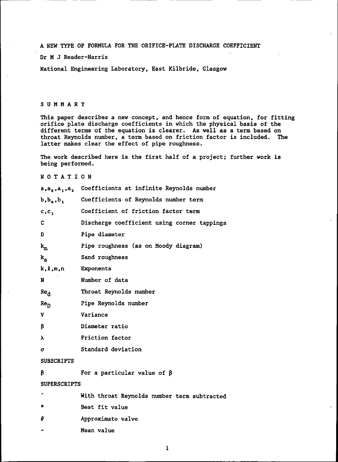A NEW TYPE OF FORMULA FOR THE ORIFICE-PLATE DISCHARGE COEFFICIENT

## Dr M J Reader-Harris

National Engineering Laboratory. East Kilbride. Glasgow

## SUMMARY

This paper describes a new concept, and hence form of equation, for fitting orifice plate discharge coefficients in which the physical basis of the different terms of the equation is clearer. As well as a term based on throat Reynolds number. a term based on friction factor is included. The latter makes clear the effect of pipe roughness.

The work described here is the first half of a project; further work is being performed.

## NOTATION

|                      | a,a <sub>0</sub> ,a <sub>1</sub> ,a <sub>2</sub> Coefficients at infinite Reynolds number |  |  |
|----------------------|-------------------------------------------------------------------------------------------|--|--|
| $b, b_o, b_1$        | Coefficients of Reynolds number term                                                      |  |  |
| c, c,                | Coefficient of friction factor term                                                       |  |  |
| C                    | Discharge coefficient using corner tappings                                               |  |  |
| D                    | Pipe diameter                                                                             |  |  |
| $\mathbf{k}_{\rm m}$ | Pipe roughness (as on Moody diagram)                                                      |  |  |
| $k_{\rm g}$          | Sand roughness                                                                            |  |  |
| $k, \ell, m, n$      | Exponents                                                                                 |  |  |
| N                    | Number of data                                                                            |  |  |
| Re <sub>d</sub>      | Throat Reynolds number                                                                    |  |  |
| Re <sub>D</sub>      | Pipe Reynolds number                                                                      |  |  |
| V                    | Variance                                                                                  |  |  |
| β                    | Diameter ratio                                                                            |  |  |
| λ                    | Friction factor                                                                           |  |  |
| σ                    | Standard deviation                                                                        |  |  |
| <b>SUBSCRIPTS</b>    |                                                                                           |  |  |
| β                    | For a particular value of $\beta$                                                         |  |  |
| <b>SUPERSCRIPTS</b>  |                                                                                           |  |  |
|                      | With throat Reynolds number term subtracted                                               |  |  |
| *                    | Best fit value                                                                            |  |  |
| #                    | Approximate valve                                                                         |  |  |
|                      | Mean value                                                                                |  |  |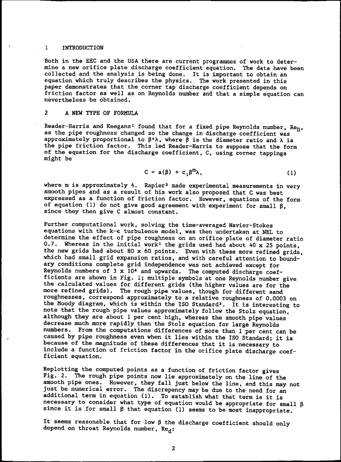### 1 INTRODUCTION

Both in the EEC and the USA there are current programmes of work to determine a new orifice plate discharge coefficient equation. The data have been mand a new example analysis is being done. It is important to obtain an equation which truly describes the physics. The work presented in this paper demonstrates that the corner tap discharge coefficient depends on friction factor as well as on Reynolds number and that a simple equation can nevertheless be obtained.

## 2 A NEW TYPE OF FORMULA

Reader-Harris and Keegans<sup>1</sup> found that for a fixed pipe Reynolds number,  $Re_{D}$ , as the pipe roughness changed so the change in discharge coefficient was approximately proportional to  $\beta^*\lambda$ , where  $\beta$  is the diameter ratio and  $\lambda$  is the pipe friction factor. This led Reader-Harris to suppose that the form of the equation for the discharge coefficient, C, using corner tappings might be

$$
C = a(\beta) + c_1 \beta^m \lambda, \qquad (1)
$$

where m is approximately 4. Rapier<sup>2</sup> made experimental measurements in very smooth pipes and as a result of his work also proposed that C was best expressed as a function of friction factor. However, equations of the form of equation (1) do not give good agreement with experiment for small  $\beta$ . since they then give C almost constant.

Further computational work. solving the time-averaged Navier-Stokes equations with the  $k-\epsilon$  turbulence model, was then undertaken at NEL to determine the effect of pipe roughness on an orifice plate of diameter ratio 0.7. Whereas in the initial work<sup>1</sup> the grids used had about 40 x 25 points, the new grids had about 80 x 60 points. EVen with these more refined grids, which had small grid expansion ratios, and with careful attention to boundary conditions complete grid independence was not achieved except for Reynolds numbers of 3 x  $10<sup>5</sup>$  and upwards. The computed discharge coefficients are shown in Fig. 1; multiple symbols at one Reynolds number give the calculated values for different grids (the higher values are for the more refined grids). The rough pipe values, though for different sand roughnesses. correspond approximately to a relative roughness of 0.0003 on the Moody diagram, which is within the ISO Standard'. It is interesting to note that the rough pipe values approximately follow the Stolz equation. although they are about 1 per cent high. whereas the smooth pipe values decrease much more rapidly than the Stolz equation for large Reynolds numbers. From the computations differences of more than 1 per cent can be caused by pipe roughness even when it lies within the ISO Standard; it is because of the magnitude of these differences that it is necessary to include a function of friction factor in the orifice plate discharge coefficient equation.

Replotting the computed points as a function of friction factor gives Fig. 2. The rough pipe points now lie approximately on the line of the smooth pipe ones. However, they fall just below the line, and this may not just be numerical error. The discrepency may be due to the need for an additional term in equation (1). To establish what that term is it is necessary to consider what type of equation would be appropriate for small  $\beta$ since it is for small  $\beta$  that equation (1) seems to be most inappropriate.

It seems reasonable that for low  $\beta$  the discharge coefficient should only depend on throat Reynolds number,  $Re_A$ :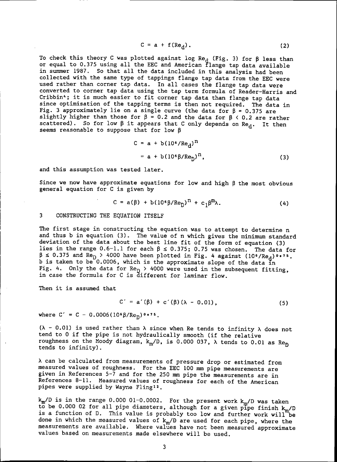$$
C = a + f(Re_d).
$$
 (2)

To check this theory C was plotted against log Re<sub>d</sub> (Fig. 3) for  $\beta$  less than or equal to 0.375 using all the EEC and American flange tap data available in summer 1987. So that all the data included in this analysis had been collected with the same type of tappings flange tap data from the EEC were used rather than corner tap data. In all cases the flange tap data were converted to corner tap data using the tap term formula of Reader-Harris and Cribbin<sup>4</sup>; it is much easier to fit corner tap data than flange tap data since optimisation of the tapping terms is then not required. The data in Fig. 3 approximately lie on a single curve (the data for  $\beta = 0.375$  are slightly higher than those for  $\beta = 0.2$  and the data for  $\beta \le 0.2$  are rather scattered). So for low  $\beta$  it appears that C only depends on Re<sub>d</sub>. It then seems reasonable to suppose that for low  $\beta$ 

$$
C = a + b(106/Red)n
$$
  
= a + b(10<sup>6</sup>β/Re<sub>n</sub>)<sup>n</sup>, (3)

and this assumption was tested later.

Since we now have approximate equations for low and high  $\beta$  the most obvious general equation for C is given by

$$
C = a(\beta) + b(10^{\circ}\beta/Re_{D})^{T} + c_{1}\beta^{T} \lambda. \qquad (4)
$$

### 3 CONSTRUCTING THE EQUATION ITSELF

The first stage in constructing the equation was to attempt to determine n and thus b in equation (3). The value of n which gives the minimum standard deviation of the data about the best line fit of the form of equation (3) lies in the range  $0.6-1.1$  for each  $\beta \le 0.375$ ; 0.75 was chosen. The data for <sup>~</sup> <sup>~</sup> 0.375 and ReO> <sup>4000</sup> have been plotted in Fig. <sup>4</sup> against *(106/Req )o.7s.* b is taken to be  $0.0006$ , which is the approximate slope of the data in Fig. 4. Only the data for  $\text{Re}_{D}$  > 4000 were used in the subsequent fitting, in case the formula for C is different for laminar flow.

Then it is assumed that

$$
C' = a'(\beta) + c'(\beta)(\lambda - 0.01),
$$
 (5)

where  $C' = C - 0.0006(10^6 \beta/Re_p)^{0.0075}$ .

( $\lambda$  - 0.01) is used rather than  $\lambda$  since when Re tends to infinity  $\lambda$  does not tend to 0 if the pipe is not hydraulically smooth (if the relative roughness on the Moody diagram,  $k_m/D$ , is 0.000 037,  $\lambda$  tends to 0.01 as  $Re_D$ tends to infinity).

A can be calculated from measurements of pressure drop or estimated from measured values of roughness. For the EEC 100 mm pipe measurements are given in References 5-7 and for the 250 mm pipe the measurements are in References 8-11. Measured values of roughness for each of the American pipes were supplied by Wayne Fling<sup>12</sup>.

*~/D* is in the range 0.000 01-0.0002. For the present work *~/D* was taken to be 0.000 02 for all pipe diameters, although for a given pipe finish **k** is a function of D. This value is probably too low and further work will "be done in which the measured values of *km/D* are used for each pipe. where the measurements are available. Where values have not been measured approximate values based on measurements made elsewhere will be used.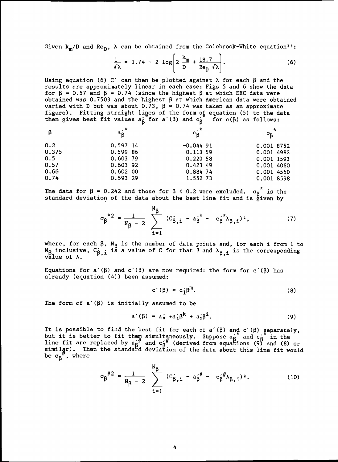Given  $k_m/D$  and  $Re_D$ ,  $\lambda$  can be obtained from the Colebrook-White equation<sup>13</sup>:

$$
\frac{1}{\sqrt{2}} = 1.74 - 2 \log \left[ 2 \frac{k_m}{D} + \frac{18.7}{Re_D \sqrt{2}} \right].
$$
 (6)

Using equation (6) C' can then be plotted against  $\lambda$  for each  $\beta$  and the results are approximately linear in each case; Figs 5 and 6 show the data for  $\beta$  = 0.57 and  $\beta$  = 0.74 (since the highest  $\beta$  at which EEC data were obtained was 0.7503 and the highest  $\beta$  at which American data were obtained varied with D but was about 0.73,  $\beta = 0.74$  was taken as an approximate figure). Fitting straight lines of the form of equation (5) to the data then gives best fit values a<sub> $\mathsf{A}$ </sub> for a'( $\mathsf{B}$ ) and  $\mathsf{c}_\mathsf{R}$  for  $\mathsf{c}(\mathsf{B})$  as follows:

| $\beta$ | $a_B^{\star}$ | $c_{\mathsf{B}}^{\mathsf{A}^{\textstyle{*}}}$ | σg         | $\ast$ |
|---------|---------------|-----------------------------------------------|------------|--------|
| 0.2     | 0.597 14      | $-0.044$ 91                                   | 0.001 8752 |        |
| 0.375   | 0.599 86      | 0.113 59                                      | 0.001 4982 |        |
| 0.5     | $0.603$ 79    | 0.220 58                                      | 0.001 1593 |        |
| 0.57    | 0.603 92      | 0.42349                                       | 0.001 4060 |        |
| 0.66    | 0.60200       | 0.884 74                                      | 0.001 4550 |        |
| 0.74    | 0.593 29      | 1.552 73                                      | 0.001 8598 |        |

standard deviation of the data about the best line fit and is given by

The data for 
$$
\beta = 0.242
$$
 and those for  $\beta < 0.2$  were excluded.  $\sigma_{\beta}^*$  is the  
standard deviation of the data about the best line fit and is given by  

$$
\sigma_{\beta}^*{}^2 = \frac{1}{N_{\beta} - 2} \sum_{i=1}^{N_{\beta}} (C_{\beta,i} - a_{\beta}^* - c_{\beta}^* \lambda_{\beta,i})^2,
$$
(7)

where, for each  $\beta$ ,  $N_{\beta}$  is the number of data points and, for each i from 1 to N<sub>B</sub> inclusive, C<sub>B\_i</sub> is a value of C for that  $\beta$  and  $\lambda_{R_{-i}}$  is the corresponding value of X.

Equations for a'( $\beta$ ) and c'( $\beta$ ) are now required: the form for c'( $\beta$ ) has already (equation (4)) been assumed:

$$
c'(\beta) = c'_1 \beta^m. \tag{8}
$$

The form of  $a'(\beta)$  is initially assumed to be

$$
a'(\beta) = a'_0 + a'_1 \beta^k + a'_2 \beta^k. \tag{9}
$$

It is possible to find the best fit for each of a'( $\beta$ ) and c'( $\beta$ ) separately, but it is better to fit them simultaneously. Suppose  $a_R^2$  and  $c_R^2$  in the line fit are replaced by  $a^{''}_{\beta}$  and  $c^{''}_{\beta}$  (derived from equations (9) and (8) or simil $\frac{1}{2}$ . Then the standard deviation of the data about this line fit would be  $\sigma_{\beta}^{\prime\prime}$ , where

$$
\sigma_{\beta}^{\#2} = \frac{1}{N_{\beta} - 2} \sum_{i=1}^{N_{\beta}} (c_{\beta,i} - a_{\beta}^{\#} - c_{\beta}^{\#} \lambda_{\beta,i})^{2}.
$$
 (10)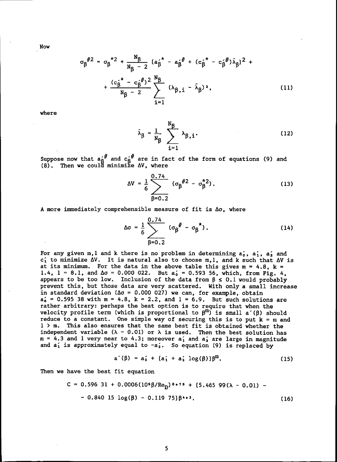Now

$$
\sigma_{\beta}^{\#2} = \sigma_{\beta}^{\ast 2} + \frac{N_{\beta}}{N_{\beta} - 2} \left\{ a_{\beta}^{\ast} - a_{\beta}^{\ast}^{\#} + (c_{\beta}^{\ast} - c_{\beta}^{\ast}^{\#}) \lambda_{\beta} \right\}^{2} + \frac{(c_{\beta}^{\ast} - c_{\beta}^{\ast}^{\#})^{2}}{N_{\beta} - 2} \sum_{i=1}^{N_{\beta}} (\lambda_{\beta,i} - \lambda_{\beta})^{2},
$$
 (11)

where

$$
\lambda_{\beta} = \frac{1}{N_{\beta}} \sum_{i=1}^{N_{\beta}} \lambda_{\beta,i}.
$$
 (12)

Suppose now that  $a_{\mathsf{A}}^{\mathsf{A}\#}$  and  $c_{\mathsf{A}}^{\mathsf{A}\#}$  are in fact of the form of equations (9) and (8). Then we could minimize  $\Delta V$ , where

$$
\Delta V = \frac{1}{6} \sum_{\beta=0.2}^{0.74} (\sigma_{\beta}^{#2} - \sigma_{\beta}^{*2}).
$$
 (13)

A more immediately comprehensible measure of fit is *h.o,* where

$$
\Delta \sigma = \frac{1}{6} \sum_{\beta=0.2}^{0.74} (\sigma_{\beta}^{\#} - \sigma_{\beta}^{\ast}).
$$
 (14)

For any given m, 1 and k there is no problem in determining  $a_0$ ,  $a_1$ ,  $a_2$  and  $c'_1$  to minimize  $\Delta V$ . It is natural also to choose m, l, and k such that  $\Delta V$  is at its minimum. For the data in the above table this gives  $m = 4.8$ ,  $k =$ 1.4,  $1 = 8.1$ , and  $\Delta \sigma = 0.000 022$ . But  $a'_0 = 0.593 56$ , which, from Fig. 4. appears to be too low. Inclusion of the data from  $\beta \leq 0.1$  would probably prevent this, but those data are very scattered. With only a small increase in standard deviation  $(\Delta \sigma = 0.000 027)$  we can, for example, obtain  $a'_0$  = 0.595 38 with m = 4.8, k = 2.2, and 1 = 6.9. But such solutions are rather arbitrary: perhaps the best option is to require that when the velocity profile term (which is proportional to  $\beta^{m}$ ) is small a'( $\beta$ ) should reduce to a constant. One simple way of securing this is to put  $k = m$  and 1 > m. This also ensures that the same best fit is obtained whether the independent variable  $(\lambda - 0.01)$  or  $\lambda$  is used. Then the best solution has  $m = 4.3$  and 1 very near to 4.3; moreover  $a'_1$  and  $a'_2$  are large in magnitude and  $a'_1$  is approximately equal to  $-a'_2$ . So equation (9) is replaced by

$$
a'(\beta) = a'_0 + (a'_1 + a'_2 \log(\beta))\beta^{m}.
$$
 (15)

Then we have the best fit equation

$$
C = 0.596 31 + 0.0006(10^{6} \beta/\text{Re}_{D})^{0.75} + \{5.465 99(\lambda - 0.01) - 0.840 15 \log(\beta) - 0.119 75\} \beta^{4.3}.
$$
 (16)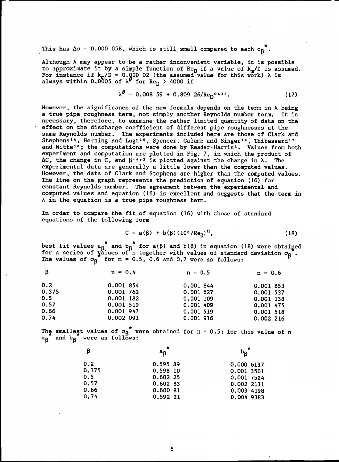This has  $\Delta \sigma$  = 0.000 058, which is still small compared to each  $\sigma_{\mathsf{R}}^*$ .

 $\overline{u}$ 

Although X may appear to be a rather inconvenient variable, it is possible to approximate it by a simple function of Re<sub>D</sub> if a value of k<sub>m</sub>/D is assumed. For instance if  $\mathbf{k}_\mathrm{m}/\mathrm{D}$  = 0.000 02 (the assumed value for this always within 0.0005 of  $\lambda^{\prime\prime}$  for Re<sub>N</sub> > 4000 if work) λ is

$$
\lambda^{\text{ff}} = 0.008 \ 59 + 0.809 \ 26/\text{Re}_{\text{D}}^{0 \text{+39}}.
$$
 (17)

However, the significance of the new formula depends on the term in  $\lambda$  being a true pipe roughness term, not simply another Reynolds number term. It is necessary, therefore, to examine the rather limited quantity of data on the effect on the discharge coefficient of different pipe roughnesses at the same Reynolds number. The experiments included here are those of Clark and Stephens<sup>14</sup>, Herning and Lugt<sup>15</sup>, Spencer, Calame and Singer<sup>16</sup>, Thibessard<sup>17</sup> and Witte<sup>16</sup>; the computations were done by Reader-Harris<sup>1</sup>. Values from both experiment and computation are plotted in Fig. 7. in which the product of  $\Delta C$ , the change in C, and  $\beta^{-*-3}$  is plotted against the change in  $\lambda$ . The experimental data are generally a little lower than the computed values. However, the data of Clark and Stephens are higher than the computed values. The line on the graph represents the prediction of equation (16) for constant Reynolds number. The agreement between the experimental and computed values and equation (16) is excellent and suggests that the term in  $\lambda$  in the equation is a true pipe roughness term.

In order to compare the fit of equation (16) with those of standard equations of the following form

$$
C = a(\beta) + b(\beta) (10^6/Re_{D})^{\text{T}}, \qquad (18)
$$

best fit values  $a_{\mathsf{R}}$  and  $b_{\mathsf{R}}$  for a( $\mathsf{B})$ ) and  $\mathsf{b}(\mathsf{B})$  in equation (18) were obtained for a series of  $\mathtt{y}$ alues of n together with values of standard deviation  $\mathtt{\sigma_{g}}$ . The values of  $\sigma_{\beta}$  for n = 0.5, 0.6 and 0.7 were as follows:

| - B   | $n = 0.4$ | $n = 0.5$   | $n = 0.6$   |
|-------|-----------|-------------|-------------|
| 0.2   | 0.001 854 | 0.001 844   | 0.001 853   |
| 0.375 | 0.001 762 | 0.001 627   | 0.001 537   |
| 0.5   | 0.001 182 | $0.001$ 109 | $0.001$ 138 |
| 0.57  | 0.001 519 | 0.001 409   | 0.001 475   |
| 0.66  | 0.001 947 | 0.001 519   | 0.001 518   |
| 0.74  | 0.002 091 | 0.001 916   | 0.002216    |

The smallest values of  $\sigma_{\beta}^*$  were obtained for n = 0.5; for this value of n  $a_{\beta}$  and  $b_{\beta}$  were as follows:

| β     | $\star$<br>$a_{\mathcal{B}}$ | $\mathbf{b}_{\mathbf{B}}$ |
|-------|------------------------------|---------------------------|
| 0.2   | 0.595 89                     | 0.000 6137                |
| 0.375 | 0.598 10                     | 0.001 3501                |
| 0.5   | 0.60225                      | 0.001 7524                |
| 0.57  | 0.602B3                      | 0.002 2131                |
| 0.66  | 0.600 81                     | 0.003 4198                |
| 0.74  | 0.592 21                     | 0.004 9383                |
|       |                              |                           |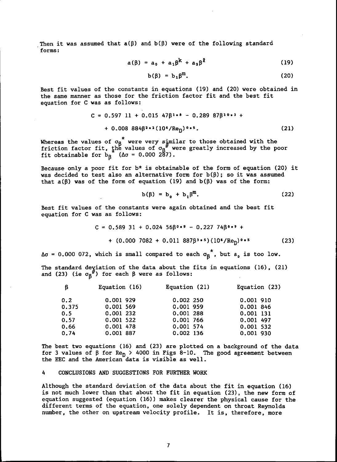Then it was assumed that  $a(\beta)$  and  $b(\beta)$  were of the following standard forms:

$$
a(\beta) = a_0 + a_1 \beta^k + a_2 \beta^2 \tag{19}
$$

$$
b(\beta) = b_1 \beta^m. \tag{20}
$$

Best fit values of the constants in equations (19) and (20) were obtained in the same manner as those for the friction factor fit and the best fit equation for C was as follows:

$$
C = 0.597 11 + 0.015 47\beta^{1*8} - 0.289 87\beta^{10*3} ++ 0.008 884\beta^{2*2} (105/ReD)0*5.
$$
 (21)

Whereas the values of  $\sigma_{\sf R}$  were very s<sub>i</sub>mila friction factor fit, the values of  $\sigma_{\sf R}$ " were fit obtainable for  $b_{\rm g}$  ( $\Delta \sigma$  = 0.000 287). to those obtained with the greatly increased by the poor

Because only a poor fit for  $b*$  is obtainable of the form of equation (20) it was decided to test also an alternative form for  $b(\beta)$ ; so it was assumed that  $a(\beta)$  was of the form of equation (19) and  $b(\beta)$  was of the form:

$$
b(\beta) = b_0 + b_1 \beta^m. \tag{22}
$$

Best fit values of the constants were again obtained and the best fit equation for C was as follows:

$$
C = 0.589 \ 31 + 0.024 \ 56\beta^0 \cdot 9 - 0.227 \ 74\beta^0 \cdot 9 +
$$
  
+ (0.000 7082 + 0.011 887\beta^3 \cdot 5) (10<sup>6</sup>/Re<sub>D</sub>)<sup>0</sup> \cdot 5 (23)

 $\Delta\sigma = 0.000$  072, which is small compared to each  $\sigma_{\beta}^{*}$ , but a<sub>p</sub> is too low.

The standard deyiation of the data about the fits in equations (16), (21) and (23) (ie  $\sigma_{\rm R}^{ij}$ ) for each  $\beta$  were as follows:

| $\beta$ | Equation (16) | Equation (21) | Equation (23) |
|---------|---------------|---------------|---------------|
| 0.2     | 0.001 929     | 0.002 250     | 0.001 910     |
| 0.375   | 0.001 569     | 0.001 959     | 0.001 846     |
| 0.5     | $0.001$ 232   | 0.001 288     | 0.001 131     |
| 0.57    | 0.001 522     | 0.001 766     | 0.001 497     |
| 0.66    | 0.001 478     | 0.001 574     | 0.001 532     |
| 0.74    | 0.001 887     | 0.002 136     | 0.001 930     |

The best two equations (16) and (23) are plotted on a background of the data for 3 values of  $\beta$  for Re<sub>n</sub> > 4000 in Figs 8-10. The good agreement between the EEC and the American data is visible as well.

#### 4 CONCLUSIONS AND SUGGESTIONS FOR FURTHER WORK

Although the standard deviation of the data about the fit in equation (16) is not much lower than that about the fit in equation (23). the new form of equation suggested (equation (16)) makes clearer the physical cause for the different terms of the equation. one solely dependent on throat Reynolds number, the other on upstream velocity profile. It is, therefore, more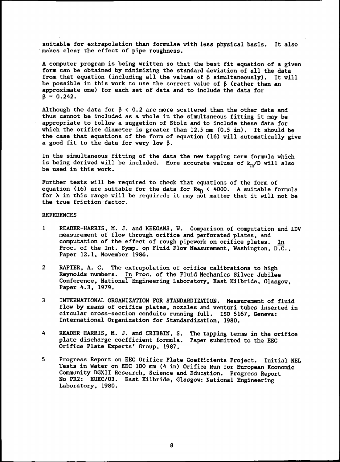suitable for extrapolation than formulae with less physical basis. It also makes clear the effect of pipe roughness.

A computer program is being written so that the best fit equation of a given form can be obtained by minimizing the standard deviation of all the data from that equation (including all the values of  $\beta$  simultaneously). It will be possible in this work to use the correct value of  $\beta$  (rather than an approximate one) for each set of data and to include the data for  $\overline{B} = 0.242.$ 

Although the data for  $\beta$  < 0.2 are more scattered than the other data and thus cannot be included as a whole in the simultaneous fitting it may be appropriate to follow a suggetion of Stolz and to include these data for which the orifice diameter is greater than 12.5 mm (0.5 in). It should be the case that equations of the form of equation (16) will automatically give a good fit to the data for very low  $\beta$ .

In the simultaneous fitting of the data the new tapping term formula which is being derived will be included. More accurate values of k<sub>m</sub>/D will also be used in this work.

Further tests will be required to check that equations of the form of equation (16) are suitable for the data for  $Re_{D}^{-}$  < 4000. A suitable formula for  $\lambda$  in this range will be required; it may not matter that it will not be the true friction factor.

## **REFERENCES**

- <sup>1</sup> READER-HARRIS, M. J. and KEEGANS. W. Comparison of computation and LDV measurement of flow through orifice and perforated plates, and computation of the effect of rough pipework on orifice plates. In Proc. of the Int. Symp. on Fluid Flow Measurement, Washington, D.C., Paper 12.1. November 1986.
- 2 RAPIER. A. C. The extrapolation of orifice calibrations to high Reynolds numbers. In Proc. of the Fluid Mechanics Silver Jubilee Conference, National Engineering Laboratory, East Kilbride, Glasgow. Paper 4.3, 1979.
- 3 INTERNATIONAL ORGANIZATION FOR STANDARDIZATION. Measurement of fluid flow by means of orifice plates, nozzles and venturi tubes inserted in circular cross-section conduits running full. ISO 5167, Geneva: International Organization for Standardization, 1980.
- 4 READER-HARRIS, M. J. and CRIBBIN, S. The tapping terms in the orifice plate discharge coefficient formula. Paper submitted to the EEC Orifice Plate Experts' Group. 1987.
- 5 Progress Report on EEC Orifice Plate Coefficients Project. Initial NEL Tests in Water on EEC 100 mm (4 in) Orifice Run for European Economic Community DGXII Research, Science and Education. Progress Report No PR2: EUEC/03. East Kilbride, Glasgow: National Engineering Laboratory. 1980.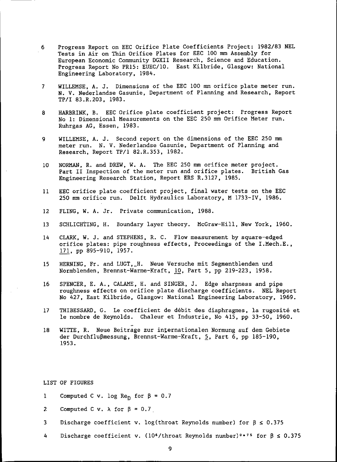- 6 Progress Report on EEC Orifice Plate Coefficients Project: 1982/83 NEL Tests in Air on Thin Orifice Plates for EEC 100 mm Assembly for European Economic Community DGXII Research, Science and Education. Progress Report No PR15: EUEC/10. East Kilbride, Glasgow: National Engineering Laboratory, 1984.
- 7 WILLEMSE, A. J. Dimensions of the EEC 100 mm orifice plate meter run. N. V. Nederlandse Gasunie, Department of Planning and Research, Report TP/I 83.R.203, 1983.
- 8 HARBRINK, B. EEC Orifice plate coefficient project: Progress Report No 1: Dimensional Measurements on the EEC 250 mm Orifice Meter run. Ruhrgas AG, Essen, 1983.
- 9 WILLEMSE, A. J. Second report on the dimensions of the EEC 250 mm meter run. N. V. Nederlandse Gasunie, Department of Planning and Research, Report TP/1 82.R.353, 1982.
- 10 NORMAN, R. and DREW, W. A. The EEC 250 mm orifice meter project. Part II Inspection of the meter run and orifice plates. British Gas Engineering Research Station, Report ERS R.3127. 1985.
- 11 EEC orifice plate coefficient project, final water tests on the EEC 250 mm orifice run. Delft Hydraulics Laboratory, M 1733-IV. 1986.
- 12 FLING. W. A. Jr. Private communication, 1988.
- 13 SCHLICHTING. H. Boundary layer theory. McGraw-Hill, New York, 1960.
- 14 CLARK, W. J. and STEPHENS. R. C. Flow measurement by square-edged orifice plates: pipe roughness effects, Proceedings of the I.Mech.E., 171, pp 895-910, 1957.
- 15 HERNING, Fr. and LUGT, H. Neue Versuche mit Segmentblenden und Normblenden, Brennst-Warme-Kraft. 10, Part 5, pp 219-223. 1958.
- 16 SPENCER, E. A., CALAME, H. and SINGER, J. Edge sharpness and pipe roughness effects on orifice plate discharge coefficients. NEL Report No 427, East Kilbride, Glasgow: National Engineering Laboratory. 1969.
- 17 THIBESSARD, G. Le coefficient de debit des diaphragmes, la rugosite et Ie nombre de Reynolds. Chaleur et Industrie, No 415, pp 33-50, 1960.
- 18 WITTE, R. Neue Beitrage zur internationalen Normung auf dem Gebiete der Durchflußmessung, Brennst-Warme-Kraft, 5, Part 6, pp 185-190. 1953.

LIST OF FIGURES

- 1 Computed C v. log  $\text{Re}_{\Omega}$  for  $\beta = 0.7$
- 2 Computed C v.  $\lambda$  for  $\beta = 0.7$
- 3 Discharge coefficient v. log (throat Reynolds number) for  $\beta \le 0.375$
- 4 Discharge coefficient v. (10<sup>6</sup>/throat Reynolds number)<sup>0.75</sup> for  $\beta \le 0.375$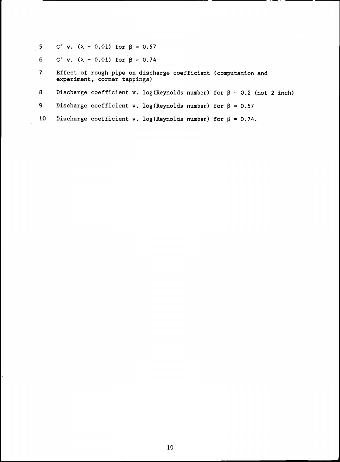- 5 C' v.  $(\lambda 0.01)$  for  $\beta = 0.57$ 
	- 6 C' v.  $(\lambda 0.01)$  for  $\beta = 0.74$

 $\overline{\phantom{a}}$ 

- 7 Effect of rough pipe on discharge coefficient (computation and experiment, corner tappings)
- 8 Discharge coefficient v. log (Reynolds number) for  $\beta = 0.2$  (not 2 inch)
- 9 Discharge coefficient v. log (Reynolds number) for  $\beta = 0.57$
- 10 Discharge coefficient v. log (Reynolds number) for  $\beta = 0.74$ .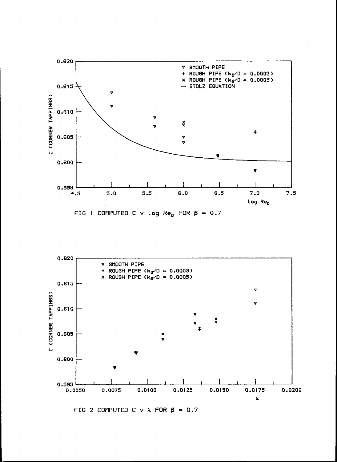



FIG 2 COMPUTED C v  $\lambda$  FOR  $\beta$  = 0.7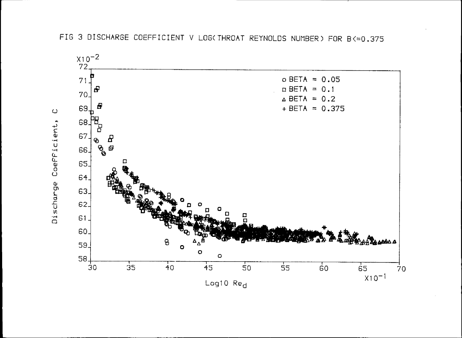

FIG 3 DISCHARGE COEFFICIENT V LOG(THROAT REYNOLDS NUMBER) FOR B<= 0.375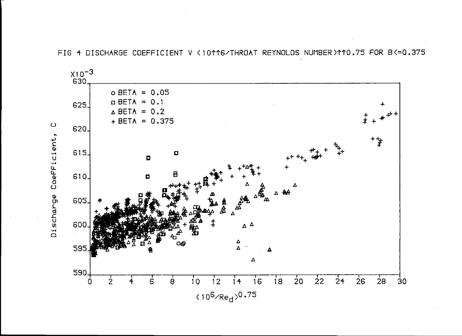

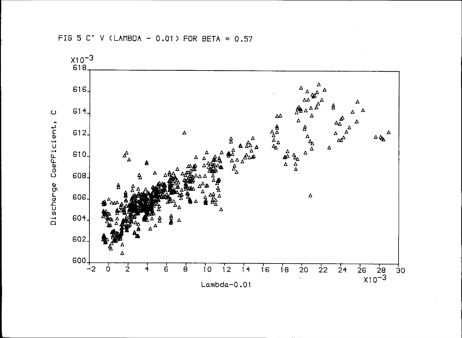

FIG 5 C' V (LAMBDA - 0.01) FOR BETA =  $0.57$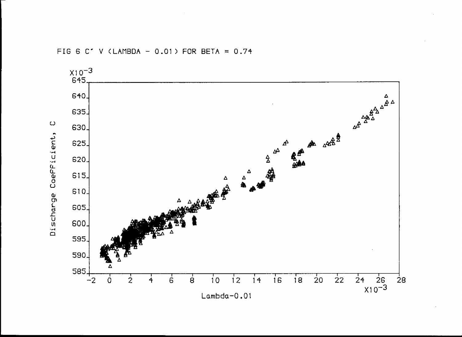FIG 6 C' V (LAMBDA - 0.01) FOR BETA = 0.74

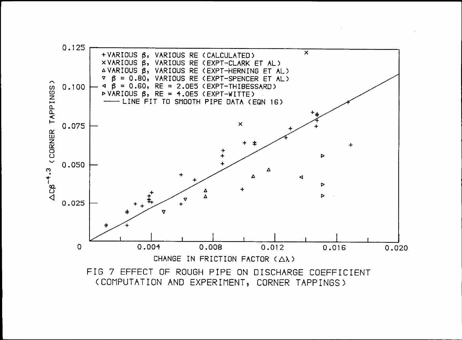

(COMPUTATION AND EXPERIMENT, CORNER TAPPINGS)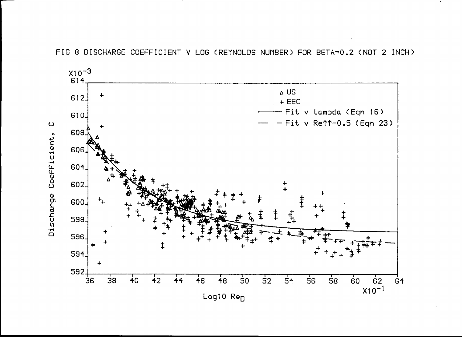FIG 8 DISCHARGE COEFFICIENT V LOG (REYNOLDS NUMBER) FOR BETA=0.2 (NOT 2 INCH)

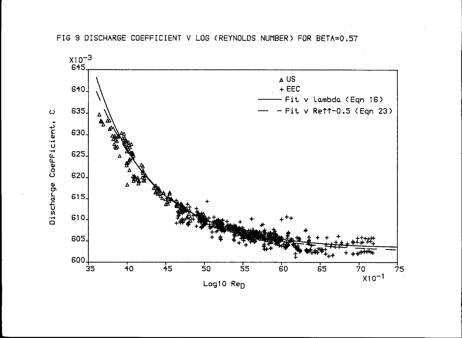

FIG 9 DISCHARGE COEFFICIENT V LOG (REYNOLDS NUMBER) FOR BETA=0.57